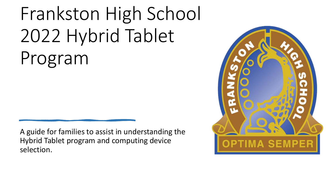# Frankston High School 2022 Hybrid Tablet Program

A guide for families to assist in understanding the Hybrid Tablet program and computing device selection.

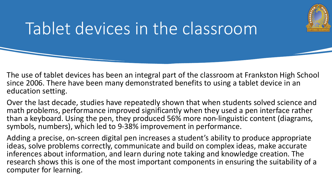

#### Tablet devices in the classroom

The use of tablet devices has been an integral part of the classroom at Frankston High School since 2006. There have been many demonstrated benefits to using a tablet device in an education setting.

Over the last decade, studies have repeatedly shown that when students solved science and math problems, performance improved significantly when they used a pen interface rather than a keyboard. Using the pen, they produced 56% more non-linguistic content (diagrams, symbols, numbers), which led to 9-38% improvement in performance.

Adding a precise, on-screen digital pen increases a student's ability to produce appropriate ideas, solve problems correctly, communicate and build on complex ideas, make accurate inferences about information, and learn during note taking and knowledge creation. The research shows this is one of the most important components in ensuring the suitability of a computer for learning.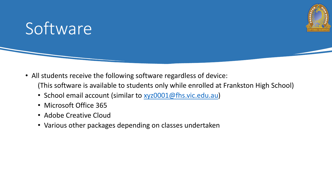

#### Software

- All students receive the following software regardless of device: (This software is available to students only while enrolled at Frankston High School)
	- School email account (similar to [xyz0001@fhs.vic.edu.au\)](mailto:xyz0001@fhs.vic.edu.au)
	- Microsoft Office 365
	- Adobe Creative Cloud
	- Various other packages depending on classes undertaken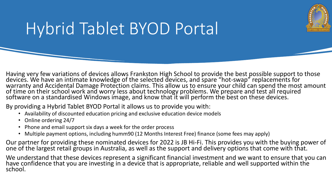

#### Hybrid Tablet BYOD Portal

Having very few variations of devices allows Frankston High School to provide the best possible support to those devices. We have an intimate knowledge of the selected devices, and spare "hot-swap" replacements for warranty and Accidental Damage Protection claims. This allow us to ensure your child can spend the most amount of time on their school work and worry less about technology problems. We prepare and test all required software on a standardised Windows image, and know that it will perform the best on these devices.

By providing a Hybrid Tablet BYOD Portal it allows us to provide you with:

- Availability of discounted education pricing and exclusive education device models
- Online ordering 24/7
- Phone and email support six days a week for the order process
- Multiple payment options, including humm90 (12 Months Interest Free) finance (some fees may apply)

Our partner for providing these nominated devices for 2022 is JB Hi-Fi. This provides you with the buying power of one of the largest retail groups in Australia, as well as the support and delivery options that come with that.

We understand that these devices represent a significant financial investment and we want to ensure that you can have confidence that you are investing in a device that is appropriate, reliable and well supported within the school.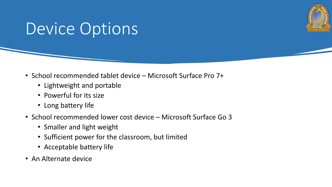

#### Device Options

- School recommended tablet device Microsoft Surface Pro 7+
	- Lightweight and portable
	- Powerful for its size
	- Long battery life
- School recommended lower cost device Microsoft Surface Go 3
	- Smaller and light weight
	- Sufficient power for the classroom, but limited
	- Acceptable battery life
- An Alternate device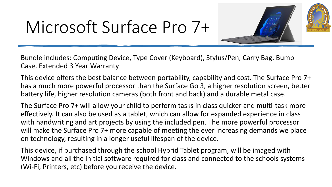#### Microsoft Surface Pro 7+



Bundle includes: Computing Device, Type Cover (Keyboard), Stylus/Pen, Carry Bag, Bump Case, Extended 3 Year Warranty

This device offers the best balance between portability, capability and cost. The Surface Pro 7+ has a much more powerful processor than the Surface Go 3, a higher resolution screen, better battery life, higher resolution cameras (both front and back) and a durable metal case.

The Surface Pro 7+ will allow your child to perform tasks in class quicker and multi-task more effectively. It can also be used as a tablet, which can allow for expanded experience in class with handwriting and art projects by using the included pen. The more powerful processor will make the Surface Pro 7+ more capable of meeting the ever increasing demands we place on technology, resulting in a longer useful lifespan of the device.

This device, if purchased through the school Hybrid Tablet program, will be imaged with Windows and all the initial software required for class and connected to the schools systems (Wi-Fi, Printers, etc) before you receive the device.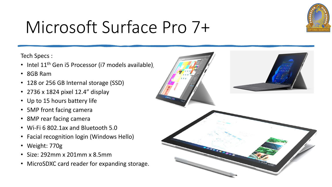

## Microsoft Surface Pro 7+

Tech Specs :

- Intel 11<sup>th</sup> Gen i5 Processor (i7 models available),
- 8GB Ram
- 128 or 256 GB Internal storage (SSD)
- 2736 x 1824 pixel 12.4" display
- Up to 15 hours battery life
- 5MP front facing camera
- 8MP rear facing camera
- Wi-Fi 6 802.1ax and Bluetooth 5.0
- Facial recognition login (Windows Hello)
- Weight: 770g
- Size: 292mm x 201mm x 8.5mm
- MicroSDXC card reader for expanding storage.

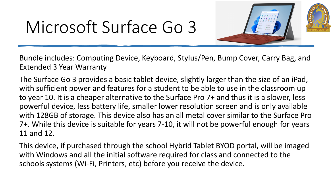## Microsoft Surface Go 3



Bundle includes: Computing Device, Keyboard, Stylus/Pen, Bump Cover, Carry Bag, and Extended 3 Year Warranty

The Surface Go 3 provides a basic tablet device, slightly larger than the size of an iPad, with sufficient power and features for a student to be able to use in the classroom up to year 10. It is a cheaper alternative to the Surface Pro 7+ and thus it is a slower, less powerful device, less battery life, smaller lower resolution screen and is only available with 128GB of storage. This device also has an all metal cover similar to the Surface Pro 7+. While this device is suitable for years 7-10, it will not be powerful enough for years 11 and 12.

This device, if purchased through the school Hybrid Tablet BYOD portal, will be imaged with Windows and all the initial software required for class and connected to the schools systems (Wi-Fi, Printers, etc) before you receive the device.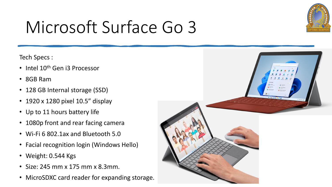

## Microsoft Surface Go 3

Tech Specs :

- Intel 10<sup>th</sup> Gen i3 Processor
- 8GB Ram
- 128 GB Internal storage (SSD)
- 1920 x 1280 pixel 10.5" display
- Up to 11 hours battery life
- 1080p front and rear facing camera
- Wi-Fi 6 802.1ax and Bluetooth 5.0
- Facial recognition login (Windows Hello)
- Weight: 0.544 Kgs
- Size: 245 mm x 175 mm x 8.3mm.
- MicroSDXC card reader for expanding storage.

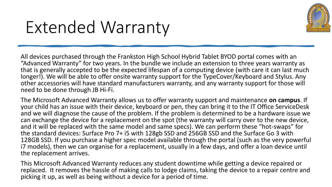

#### Extended Warranty

All devices purchased through the Frankston High School Hybrid Tablet BYOD portal comes with an "Advanced Warranty" for two years. In the bundle we include an extension to three years warranty as that is generally accepted to be the expected lifespan of a computing device (with care it can last much longer!). We will be able to offer onsite warranty support for the TypeCover/Keyboard and Stylus. Any other accessories will have standard manufacturers warranty, and any warranty support for those will need to be done through JB Hi-Fi.

The Microsoft Advanced Warranty allows us to offer warranty support and maintenance **on campus**. If your child has an issue with their device, keyboard or pen, they can bring it to the IT Office ServiceDesk and we will diagnose the cause of the problem. If the problem is determined to be a hardware issue we can exchange the device for a replacement on the spot (the warranty will carry over to the new device, and it will be replaced with the same model and same specs). We can perform these "hot-swaps" for the standard devices: Surface Pro 7+ i5 with 128gb SSD and 256GB SSD and the Surface Go 3 with 128GB SSD. If you purchase a higher spec model available through the portal (such as the very powerful i7 models), then we can organise for a replacement, usually in a few days, and offer a loan device until the replacement arrives.

This Microsoft Advanced Warranty reduces any student downtime while getting a device repaired or replaced. It removes the hassle of making calls to lodge claims, taking the device to a repair centre and picking it up, as well as being without a device for a period of time.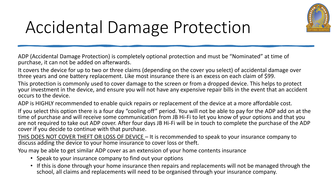

## Accidental Damage Protection

ADP (Accidental Damage Protection) is completely optional protection and must be "Nominated" at time of purchase, it can not be added on afterwards.

It covers the device for up to two or three claims (depending on the cover you select) of accidental damage over three years and one battery replacement. Like most insurance there is an excess on each claim of \$99.

This protection is commonly used to cover damage to the screen or from a dropped device. This helps to protect your investment in the device, and ensure you will not have any expensive repair bills in the event that an accident occurs to the device.

ADP is HIGHLY recommended to enable quick repairs or replacement of the device at a more affordable cost.

If you select this option there is a four day "cooling off" period. You will not be able to pay for the ADP add on at the time of purchase and will receive some communication from JB Hi-Fi to let you know of your options and that you are not required to take out ADP cover. After four days JB Hi-Fi will be in touch to complete the purchase of the ADP cover if you decide to continue with that purchase.

THIS DOES NOT COVER THEFT OR LOSS OF DEVICE – It is recommended to speak to your insurance company to discuss adding the device to your home insurance to cover loss or theft.

You may be able to get similar ADP cover as an extension of your home contents insurance

- Speak to your insurance company to find out your options
- If this is done through your home insurance then repairs and replacements will not be managed through the school, all claims and replacements will need to be organised through your insurance company.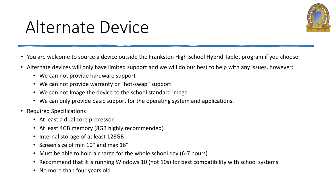

#### Alternate Device

- You are welcome to source a device outside the Frankston High School Hybrid Tablet program if you choose
- Alternate devices will only have limited support and we will do our best to help with any issues, however:
	- We can not provide hardware support
	- We can not provide warranty or "hot-swap" support
	- We can not Image the device to the school standard image
	- We can only provide basic support for the operating system and applications.
- Required Specifications
	- At least a dual core processor
	- At least 4GB memory (8GB highly recommended)
	- Internal storage of at least 128GB
	- Screen size of min 10" and max 16"
	- Must be able to hold a charge for the whole school day (6-7 hours)
	- Recommend that it is running Windows 10 (not 10s) for best compatibility with school systems
	- No more than four years old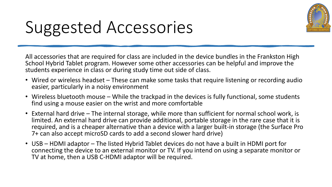

## Suggested Accessories

All accessories that are required for class are included in the device bundles in the Frankston High School Hybrid Tablet program. However some other accessories can be helpful and improve the students experience in class or during study time out side of class.

- Wired or wireless headset These can make some tasks that require listening or recording audio easier, particularly in a noisy environment
- Wireless bluetooth mouse While the trackpad in the devices is fully functional, some students find using a mouse easier on the wrist and more comfortable
- External hard drive The internal storage, while more than sufficient for normal school work, is limited. An external hard drive can provide additional, portable storage in the rare case that it is required, and is a cheaper alternative than a device with a larger built-in storage (the Surface Pro 7+ can also accept microSD cards to add a second slower hard drive)
- USB HDMI adaptor The listed Hybrid Tablet devices do not have a built in HDMI port for connecting the device to an external monitor or TV. If you intend on using a separate monitor or TV at home, then a USB C-HDMI adaptor will be required.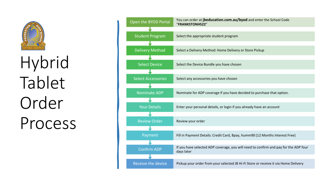

Hybrid Tablet Order Process

| Open the BYOD Portal      | You can order at jbeducation.com.au/byod and enter the School Code<br>"FRANKSTONHS22"              |
|---------------------------|----------------------------------------------------------------------------------------------------|
|                           |                                                                                                    |
| <b>Student Program</b>    | Select the appropriate student program                                                             |
|                           |                                                                                                    |
| <b>Delivery Method</b>    | Select a Delivery Method: Home Delivery or Store Pickup                                            |
|                           |                                                                                                    |
| <b>Select Device</b>      | Select the Device Bundle you have chosen                                                           |
|                           |                                                                                                    |
| Select Accessories        | Select any accessories you have chosen                                                             |
|                           |                                                                                                    |
| <b>Nominate ADP</b>       | Nominate for ADP coverage if you have decided to purchase that option.                             |
|                           |                                                                                                    |
| <b>Your Details</b>       | Enter your personal details, or login if you already have an account                               |
|                           |                                                                                                    |
| <b>Review Order</b>       | Review your order                                                                                  |
|                           |                                                                                                    |
| Payment                   | Fill in Payment Details: Credit Card, Bpay, humm90 (12 Months Interest Free)                       |
|                           |                                                                                                    |
| <b>Confirm ADP</b>        | If you have selected ADP coverage, you will need to confirm and pay for the ADP four<br>days later |
|                           |                                                                                                    |
| <b>Receive the device</b> | Pickup your order from your selected JB Hi-Fi Store or receive it via Home Delivery                |